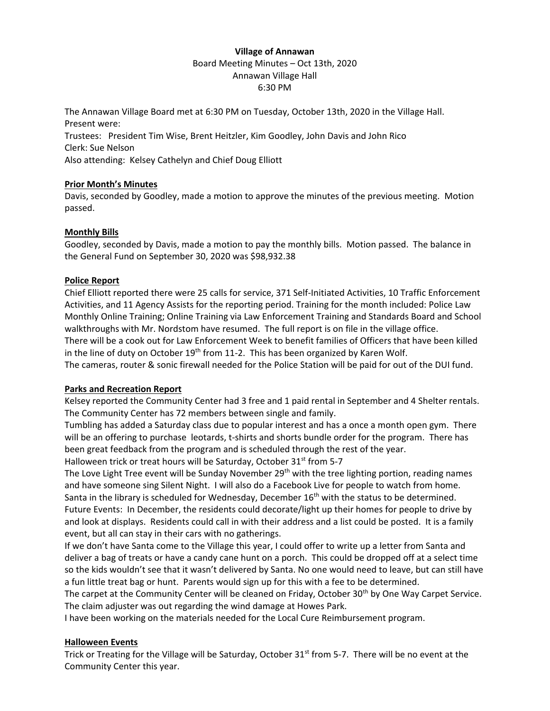# **Village of Annawan** Board Meeting Minutes – Oct 13th, 2020 Annawan Village Hall 6:30 PM

The Annawan Village Board met at 6:30 PM on Tuesday, October 13th, 2020 in the Village Hall. Present were: Trustees: President Tim Wise, Brent Heitzler, Kim Goodley, John Davis and John Rico Clerk: Sue Nelson Also attending: Kelsey Cathelyn and Chief Doug Elliott

# **Prior Month's Minutes**

Davis, seconded by Goodley, made a motion to approve the minutes of the previous meeting. Motion passed.

# **Monthly Bills**

Goodley, seconded by Davis, made a motion to pay the monthly bills. Motion passed. The balance in the General Fund on September 30, 2020 was \$98,932.38

# **Police Report**

Chief Elliott reported there were 25 calls for service, 371 Self-Initiated Activities, 10 Traffic Enforcement Activities, and 11 Agency Assists for the reporting period. Training for the month included: Police Law Monthly Online Training; Online Training via Law Enforcement Training and Standards Board and School walkthroughs with Mr. Nordstom have resumed. The full report is on file in the village office. There will be a cook out for Law Enforcement Week to benefit families of Officers that have been killed in the line of duty on October  $19<sup>th</sup>$  from 11-2. This has been organized by Karen Wolf. The cameras, router & sonic firewall needed for the Police Station will be paid for out of the DUI fund.

#### **Parks and Recreation Report**

Kelsey reported the Community Center had 3 free and 1 paid rental in September and 4 Shelter rentals. The Community Center has 72 members between single and family.

Tumbling has added a Saturday class due to popular interest and has a once a month open gym. There will be an offering to purchase leotards, t-shirts and shorts bundle order for the program. There has been great feedback from the program and is scheduled through the rest of the year.

Halloween trick or treat hours will be Saturday, October 31<sup>st</sup> from 5-7

The Love Light Tree event will be Sunday November 29<sup>th</sup> with the tree lighting portion, reading names and have someone sing Silent Night. I will also do a Facebook Live for people to watch from home. Santa in the library is scheduled for Wednesday, December 16<sup>th</sup> with the status to be determined. Future Events: In December, the residents could decorate/light up their homes for people to drive by and look at displays. Residents could call in with their address and a list could be posted. It is a family event, but all can stay in their cars with no gatherings.

If we don't have Santa come to the Village this year, I could offer to write up a letter from Santa and deliver a bag of treats or have a candy cane hunt on a porch. This could be dropped off at a select time so the kids wouldn't see that it wasn't delivered by Santa. No one would need to leave, but can still have a fun little treat bag or hunt. Parents would sign up for this with a fee to be determined.

The carpet at the Community Center will be cleaned on Friday, October 30th by One Way Carpet Service. The claim adjuster was out regarding the wind damage at Howes Park.

I have been working on the materials needed for the Local Cure Reimbursement program.

#### **Halloween Events**

Trick or Treating for the Village will be Saturday, October 31<sup>st</sup> from 5-7. There will be no event at the Community Center this year.